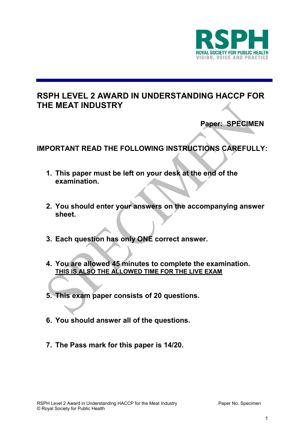

# **RSPH LEVEL 2 AWARD IN UNDERSTANDING HACCP FOR THE MEAT INDUSTRY**

 **Paper: SPECIMEN**

# **IMPORTANT READ THE FOLLOWING INSTRUCTIONS CAREFULLY:**

- **1. This paper must be left on your desk at the end of the examination.**
- **2. You should enter your answers on the accompanying answer sheet.**
- **3. Each question has only ONE correct answer.**
- **4. You are allowed 45 minutes to complete the examination. THIS IS ALSO THE ALLOWED TIME FOR THE LIVE EXAM**
- **5. This exam paper consists of 20 questions.**
- **6. You should answer all of the questions.**
- **7. The Pass mark for this paper is 14/20.**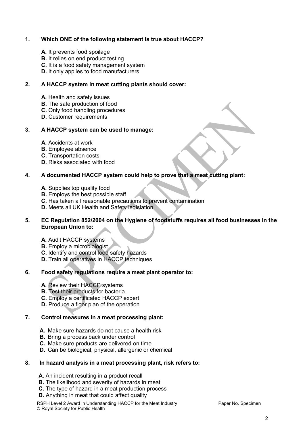# **1. Which ONE of the following statement is true about HACCP?**

- **A.** It prevents food spoilage
- **B.** It relies on end product testing
- **C.** It is a food safety management system
- **D.** It only applies to food manufacturers

# **2. A HACCP system in meat cutting plants should cover:**

- **A.** Health and safety issues
- **B.** The safe production of food
- **C.** Only food handling procedures
- **D.** Customer requirements

## **3. A HACCP system can be used to manage:**

- **A.** Accidents at work
- **B.** Employee absence
- **C.** Transportation costs
- **D.** Risks associated with food

## **4. A documented HACCP system could help to prove that a meat cutting plant:**

- **A.** Supplies top quality food
- **B.** Employs the best possible staff
- **C.** Has taken all reasonable precautions to prevent contamination
- **D.** Meets all UK Health and Safety legislation

#### **5. EC Regulation 852/2004 on the Hygiene of foodstuffs requires all food businesses in the European Union to:**

- **A.** Audit HACCP systems
- **B.** Employ a microbiologist
- **C.** Identify and control food safety hazards
- **D.** Train all operatives in HACCP techniques

# **6. Food safety regulations require a meat plant operator to:**

- **A.** Review their HACCP systems
- **B.** Test their products for bacteria
- **C.** Employ a certificated HACCP expert
- **D.** Produce a floor plan of the operation

## **7. Control measures in a meat processing plant:**

- **A.** Make sure hazards do not cause a health risk
- **B.** Bring a process back under control
- **C.** Make sure products are delivered on time
- **D.** Can be biological, physical, allergenic or chemical

#### **8. In hazard analysis in a meat processing plant, risk refers to:**

- **A.** An incident resulting in a product recall
- **B.** The likelihood and severity of hazards in meat
- **C.** The type of hazard in a meat production process
- **D.** Anything in meat that could affect quality

RSPH Level 2 Award in Understanding HACCP for the Meat Industry **Paper No. Specimen** © Royal Society for Public Health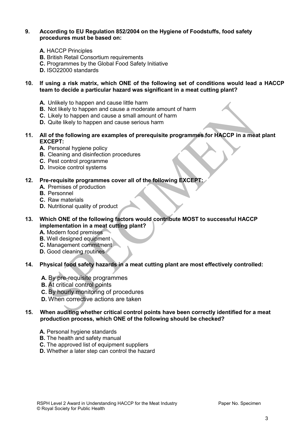#### **9. According to EU Regulation 852/2004 on the Hygiene of Foodstuffs, food safety procedures must be based on:**

- **A.** HACCP Principles
- **B.** British Retail Consortium requirements
- **C.** Programmes by the Global Food Safety Initiative
- **D.** ISO22000 standards

## **10. If using a risk matrix, which ONE of the following set of conditions would lead a HACCP team to decide a particular hazard was significant in a meat cutting plant?**

- **A.** Unlikely to happen and cause little harm
- **B.** Not likely to happen and cause a moderate amount of harm
- **C.** Likely to happen and cause a small amount of harm
- **D.** Quite likely to happen and cause serious harm
- **11. All of the following are examples of prerequisite programmes for HACCP in a meat plant EXCEPT:**
	- **A.** Personal hygiene policy
	- **B.** Cleaning and disinfection procedures
	- **C.** Pest control programme
	- **D.** Invoice control systems

# **12. Pre-requisite programmes cover all of the following EXCEPT:**

- **A.** Premises of production
- **B.** Personnel
- **C.** Raw materials
- **D.** Nutritional quality of product

# **13. Which ONE of the following factors would contribute MOST to successful HACCP implementation in a meat cutting plant?**

- **A.** Modern food premises
- **B.** Well designed equipment
- **C.** Management commitment
- **D.** Good cleaning routines
- **14. Physical food safety hazards in a meat cutting plant are most effectively controlled:**
	- **A.** By pre-requisite programmes
	- **B.** At critical control points
	- **C.** By hourly monitoring of procedures
	- **D.** When corrective actions are taken

# **15. When auditing whether critical control points have been correctly identified for a meat production process, which ONE of the following should be checked?**

- **A.** Personal hygiene standards
- **B.** The health and safety manual
- **C.** The approved list of equipment suppliers
- **D.** Whether a later step can control the hazard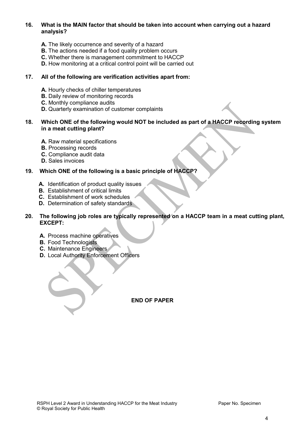## **16. What is the MAIN factor that should be taken into account when carrying out a hazard analysis?**

- **A.** The likely occurrence and severity of a hazard
- **B.** The actions needed if a food quality problem occurs
- **C.** Whether there is management commitment to HACCP
- **D.** How monitoring at a critical control point will be carried out

#### **17. All of the following are verification activities apart from:**

- **A.** Hourly checks of chiller temperatures
- **B.** Daily review of monitoring records
- **C.** Monthly compliance audits
- **D.** Quarterly examination of customer complaints

#### **18. Which ONE of the following would NOT be included as part of a HACCP recording system in a meat cutting plant?**

- **A.** Raw material specifications
- **B.** Processing records
- **C.** Compliance audit data
- **D.** Sales invoices

#### **19. Which ONE of the following is a basic principle of HACCP?**

- **A.** Identification of product quality issues
- **B.** Establishment of critical limits
- **C.** Establishment of work schedules
- **D.** Determination of safety standards

## **20. The following job roles are typically represented on a HACCP team in a meat cutting plant, EXCEPT:**

- **A.** Process machine operatives
- **B.** Food Technologists
- **C.** Maintenance Engineers
- **D.** Local Authority Enforcement Officers

#### **END OF PAPER**